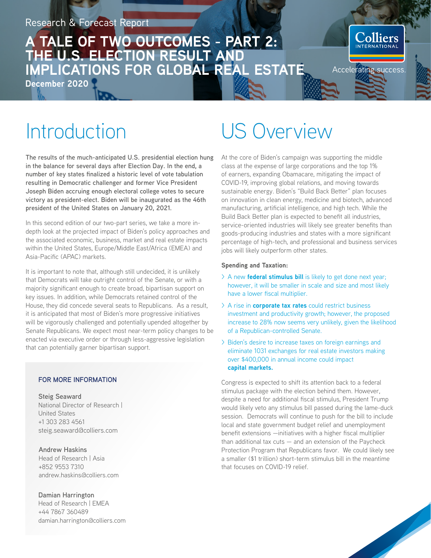## **A TALE OF TWO OUTCOMES - PART 2: THE U.S. ELECTION RESULT AND IMPLICATIONS FOR GLOBAL REAL ESTATE**

**December 2020**

colliers

Accelerating success

## **Introduction**

**The results of the much-anticipated U.S. presidential election hung in the balance for several days after Election Day. In the end, a number of key states finalized a historic level of vote tabulation resulting in Democratic challenger and former Vice President Joseph Biden accruing enough electoral college votes to secure victory as president-elect. Biden will be inaugurated as the 46th president of the United States on January 20, 2021.**

In this second edition of our two-part series, we take a more indepth look at the projected impact of Biden's policy approaches and the associated economic, business, market and real estate impacts within the United States, Europe/Middle East/Africa (EMEA) and Asia-Pacific (APAC) markets.

It is important to note that, although still undecided, it is unlikely that Democrats will take outright control of the Senate, or with a majority significant enough to create broad, bipartisan support on key issues. In addition, while Democrats retained control of the House, they did concede several seats to Republicans. As a result, it is anticipated that most of Biden's more progressive initiatives will be vigorously challenged and potentially upended altogether by Senate Republicans. We expect most near-term policy changes to be enacted via executive order or through less-aggressive legislation that can potentially garner bipartisan support.

#### **FOR MORE INFORMATION**

**Steig Seaward** National Director of Research | United States +1 303 283 4561 steig.seaward@colliers.com

**Andrew Haskins** Head of Research | Asia +852 9553 7310 andrew.haskins@colliers.com

**Damian Harrington** Head of Research | EMEA +44 7867 360489 damian.harrington@colliers.com

## US Overview

At the core of Biden's campaign was supporting the middle class at the expense of large corporations and the top 1% of earners, expanding Obamacare, mitigating the impact of COVID-19, improving global relations, and moving towards sustainable energy. Biden's "Build Back Better" plan focuses on innovation in clean energy, medicine and biotech, advanced manufacturing, artificial intelligence, and high tech. While the Build Back Better plan is expected to benefit all industries, service-oriented industries will likely see greater benefits than goods-producing industries and states with a more significant percentage of high-tech, and professional and business services jobs will likely outperform other states.

#### **Spending and Taxation:**

- > A new **federal stimulus bill** is likely to get done next year; however, it will be smaller in scale and size and most likely have a lower fiscal multiplier.
- > A rise in **corporate tax rates** could restrict business investment and productivity growth; however, the proposed increase to 28% now seems very unlikely, given the likelihood of a Republican-controlled Senate.
- > Biden's desire to increase taxes on foreign earnings and eliminate 1031 exchanges for real estate investors making over \$400,000 in annual income could impact **capital markets.**

Congress is expected to shift its attention back to a federal stimulus package with the election behind them. However, despite a need for additional fiscal stimulus, President Trump would likely veto any stimulus bill passed during the lame-duck session. Democrats will continue to push for the bill to include local and state government budget relief and unemployment benefit extensions —initiatives with a higher fiscal multiplier than additional tax  $cuts - and$  and an extension of the Paycheck Protection Program that Republicans favor. We could likely see a smaller (\$1 trillion) short-term stimulus bill in the meantime that focuses on COVID-19 relief.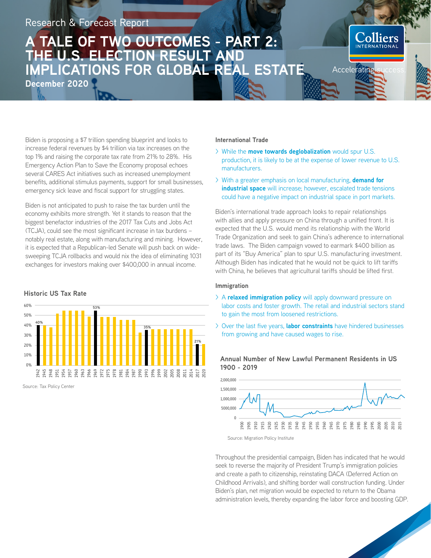## TALE OF TWO OUTCOMES - PART 2: **THE U.S. ELECTION RESULT AND IMPLICATIONS FOR GLOBAL REAL ESTATE**

**December 2020**

Biden is proposing a \$7 trillion spending blueprint and looks to increase federal revenues by \$4 trillion via tax increases on the top 1% and raising the corporate tax rate from 21% to 28%. His Emergency Action Plan to Save the Economy proposal echoes several CARES Act initiatives such as increased unemployment benefits, additional stimulus payments, support for small businesses, emergency sick leave and fiscal support for struggling states.

Biden is not anticipated to push to raise the tax burden until the economy exhibits more strength. Yet it stands to reason that the biggest benefactor industries of the 2017 Tax Cuts and Jobs Act (TCJA), could see the most significant increase in tax burdens – notably real estate, along with manufacturing and mining. However, it is expected that a Republican-led Senate will push back on widesweeping TCJA rollbacks and would nix the idea of eliminating 1031 exchanges for investors making over \$400,000 in annual income.

#### **Historic US Tax Rate**



Source: Tax Policy Center

#### **International Trade**

> While the **move towards deglobalization** would spur U.S. production, it is likely to be at the expense of lower revenue to U.S. manufacturers.

**olliers** 

Accelerating

> With a greater emphasis on local manufacturing, **demand for industrial space** will increase; however, escalated trade tensions could have a negative impact on industrial space in port markets.

Biden's international trade approach looks to repair relationships with allies and apply pressure on China through a unified front. It is expected that the U.S. would mend its relationship with the World Trade Organization and seek to gain China's adherence to international trade laws. The Biden campaign vowed to earmark \$400 billion as part of its "Buy America" plan to spur U.S. manufacturing investment. Although Biden has indicated that he would not be quick to lift tariffs with China, he believes that agricultural tariffs should be lifted first.

#### **Immigration**

- > A **relaxed immigration policy** will apply downward pressure on labor costs and foster growth. The retail and industrial sectors stand to gain the most from loosened restrictions.
- > Over the last five years, **labor constraints** have hindered businesses from growing and have caused wages to rise.



**Annual Number of New Lawful Permanent Residents in US 1900 - 2019**

Source: Migration Policy Institute

Throughout the presidential campaign, Biden has indicated that he would seek to reverse the majority of President Trump's immigration policies and create a path to citizenship, reinstating DACA (Deferred Action on Childhood Arrivals), and shifting border wall construction funding. Under Biden's plan, net migration would be expected to return to the Obama administration levels, thereby expanding the labor force and boosting GDP.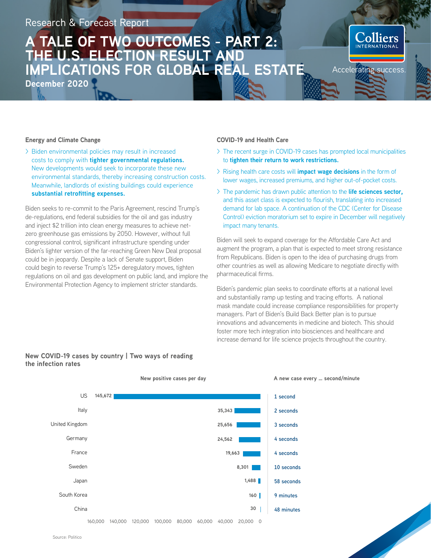## TALE OF TWO OUTCOMES - PART 2: **THE U.S. ELECTION RESULT AND IMPLICATIONS FOR GLOBAL REAL ESTATE**

**December 2020**



#### **Energy and Climate Change**

> Biden environmental policies may result in increased costs to comply with **tighter governmental regulations.**  New developments would seek to incorporate these new environmental standards, thereby increasing construction costs. Meanwhile, landlords of existing buildings could experience **substantial retrofitting expenses.** 

Biden seeks to re-commit to the Paris Agreement, rescind Trump's de-regulations, end federal subsidies for the oil and gas industry and inject \$2 trillion into clean energy measures to achieve netzero greenhouse gas emissions by 2050. However, without full congressional control, significant infrastructure spending under Biden's lighter version of the far-reaching Green New Deal proposal could be in jeopardy. Despite a lack of Senate support, Biden could begin to reverse Trump's 125+ deregulatory moves, tighten regulations on oil and gas development on public land, and implore the Environmental Protection Agency to implement stricter standards.

#### **COVID-19 and Health Care**

- > The recent surge in COVID-19 cases has prompted local municipalities to **tighten their return to work restrictions.**
- > Rising health care costs will **impact wage decisions** in the form of lower wages, increased premiums, and higher out-of-pocket costs.
- > The pandemic has drawn public attention to the **life sciences sector,** and this asset class is expected to flourish, translating into increased demand for lab space. A continuation of the CDC (Center for Disease Control) eviction moratorium set to expire in December will negatively impact many tenants.

Biden will seek to expand coverage for the Affordable Care Act and augment the program, a plan that is expected to meet strong resistance from Republicans. Biden is open to the idea of purchasing drugs from other countries as well as allowing Medicare to negotiate directly with pharmaceutical firms.

Biden's pandemic plan seeks to coordinate efforts at a national level and substantially ramp up testing and tracing efforts. A national mask mandate could increase compliance responsibilities for property managers. Part of Biden's Build Back Better plan is to pursue innovations and advancements in medicine and biotech. This should foster more tech integration into biosciences and healthcare and increase demand for life science projects throughout the country.



#### **New COVID-19 cases by country | Two ways of reading the infection rates**

**New positive cases per day A new case every … second/minute**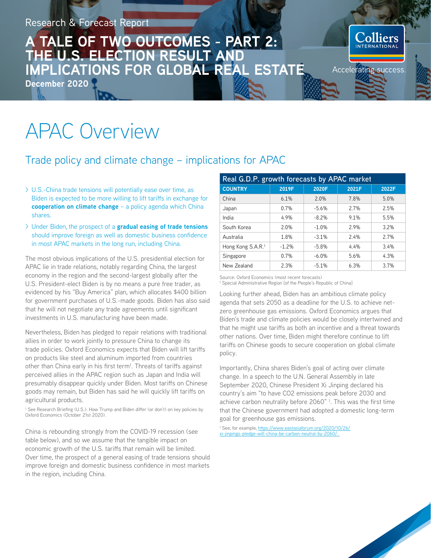## **A TALE OF TWO OUTCOMES - PART 2: THE U.S. ELECTION RESULT AND IMPLICATIONS FOR GLOBAL REAL ESTATE**

**December 2020**

## APAC Overview

### Trade policy and climate change – implications for APAC

- > U.S.-China trade tensions will potentially ease over time, as Biden is expected to be more willing to lift tariffs in exchange for **cooperation on climate change** – a policy agenda which China shares.
- > Under Biden, the prospect of a **gradual easing of trade tensions** should improve foreign as well as domestic business confidence in most APAC markets in the long run, including China.

The most obvious implications of the U.S. presidential election for APAC lie in trade relations, notably regarding China, the largest economy in the region and the second-largest globally after the U.S. President-elect Biden is by no means a pure free trader, as evidenced by his "Buy America" plan, which allocates \$400 billion for government purchases of U.S.-made goods. Biden has also said that he will not negotiate any trade agreements until significant investments in U.S. manufacturing have been made.

Nevertheless, Biden has pledged to repair relations with traditional allies in order to work jointly to pressure China to change its trade policies. Oxford Economics expects that Biden will lift tariffs on products like steel and aluminum imported from countries other than China early in his first term<sup>1</sup>. Threats of tariffs against perceived allies in the APAC region such as Japan and India will presumably disappear quickly under Biden. Most tariffs on Chinese goods may remain, but Biden has said he will quickly lift tariffs on agricultural products.

<sup>1</sup> See Research Briefing (U.S.): How Trump and Biden differ (or don't) on key policies by Oxford Economics (October 21st 2020).

China is rebounding strongly from the COVID-19 recession (see table below), and so we assume that the tangible impact on economic growth of the U.S. tariffs that remain will be limited. Over time, the prospect of a general easing of trade tensions should improve foreign and domestic business confidence in most markets in the region, including China.

| Real G.D.P. growth forecasts by APAC market |         |         |       |       |
|---------------------------------------------|---------|---------|-------|-------|
| <b>COUNTRY</b>                              | 2019F   | 2020F   | 2021F | 2022F |
| China                                       | 6.1%    | 2.0%    | 7.8%  | 5.0%  |
| Japan                                       | 0.7%    | $-5.6%$ | 2.7%  | 2.5%  |
| India                                       | 4.9%    | $-8.2%$ | 9.1%  | 5.5%  |
| South Korea                                 | 2.0%    | $-1.0%$ | 2.9%  | 3.2%  |
| Australia                                   | 1.8%    | $-3.1%$ | 2.4%  | 2.7%  |
| Hong Kong S.A.R. <sup>1</sup>               | $-1.2%$ | $-5.8%$ | 4.4%  | 3.4%  |
| Singapore                                   | 0.7%    | $-6.0%$ | 5.6%  | 4.3%  |
| New Zealand                                 | 2.3%    | $-5.1%$ | 6.3%  | 3.7%  |

**Accelerating success** 

Source: Oxford Economics (most recent forecasts)

<sup>1</sup> Special Administrative Region [of the People's Republic of China]

Looking further ahead, Biden has an ambitious climate policy agenda that sets 2050 as a deadline for the U.S. to achieve netzero greenhouse gas emissions. Oxford Economics argues that Biden's trade and climate policies would be closely intertwined and that he might use tariffs as both an incentive and a threat towards other nations. Over time, Biden might therefore continue to lift tariffs on Chinese goods to secure cooperation on global climate policy.

Importantly, China shares Biden's goal of acting over climate change. In a speech to the U.N. General Assembly in late September 2020, Chinese President Xi Jinping declared his country's aim "to have CO2 emissions peak before 2030 and achieve carbon neutrality before 2060" 1. This was the first time that the Chinese government had adopted a domestic long-term goal for greenhouse gas emissions.

<sup>1</sup> See, for example, https://www.eastasiaforum.org/2020/10/26/ xi-jinpings-pledge-will-china-be-carbon-neutral-by-2060/.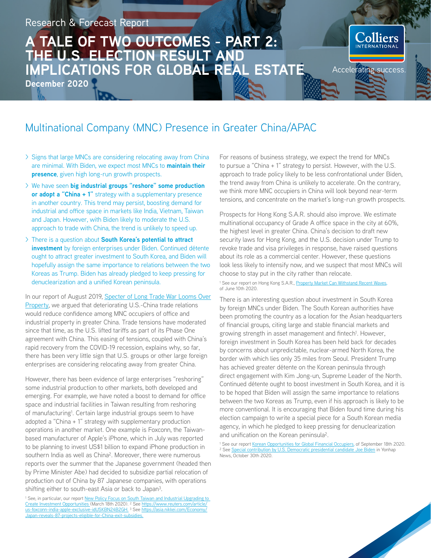## **A TALE OF TWO OUTCOMES - PART 2: THE U.S. ELECTION RESULT AND IMPLICATIONS FOR GLOBAL REAL ESTATE**

**December 2020**

# **Solliers** Accelerating success

## Multinational Company (MNC) Presence in Greater China/APAC

- > Signs that large MNCs are considering relocating away from China are minimal. With Biden, we expect most MNCs to **maintain their presence**, given high long-run growth prospects.
- > We have seen **big industrial groups "reshore" some production or adopt a "China + 1"** strategy with a supplementary presence in another country. This trend may persist, boosting demand for industrial and office space in markets like India, Vietnam, Taiwan and Japan. However, with Biden likely to moderate the U.S. approach to trade with China, the trend is unlikely to speed up.
- > There is a question about **South Korea's potential to attract investment** by foreign enterprises under Biden. Continued détente ought to attract greater investment to South Korea, and Biden will hopefully assign the same importance to relations between the two Koreas as Trump. Biden has already pledged to keep pressing for denuclearization and a unified Korean peninsula.

[In our report of August 2019, Specter of Long Trade War Looms Over](https://www2.colliers.com/en-XA/Research/Specter-of-long-trade-war-looms-over-property)  Property, we argued that deteriorating U.S.-China trade relations would reduce confidence among MNC occupiers of office and industrial property in greater China. Trade tensions have moderated since that time, as the U.S. lifted tariffs as part of its Phase One agreement with China. This easing of tensions, coupled with China's rapid recovery from the COVID-19 recession, explains why, so far, there has been very little sign that U.S. groups or other large foreign enterprises are considering relocating away from greater China.

However, there has been evidence of large enterprises "reshoring" some industrial production to other markets, both developed and emerging. For example, we have noted a boost to demand for office space and industrial facilities in Taiwan resulting from reshoring of manufacturing<sup>1</sup>. Certain large industrial groups seem to have adopted a "China + 1" strategy with supplementary production operations in another market. One example is Foxconn, the Taiwanbased manufacturer of Apple's iPhone, which in July was reported to be planning to invest US\$1 billion to expand iPhone production in southern India as well as China². Moreover, there were numerous reports over the summer that the Japanese government (headed then by Prime Minister Abe) had decided to subsidize partial relocation of production out of China by 87 Japanese companies, with operations shifting either to south-east Asia or back to Japan<sup>3</sup>.

For reasons of business strategy, we expect the trend for MNCs to pursue a "China + 1" strategy to persist. However, with the U.S. approach to trade policy likely to be less confrontational under Biden, the trend away from China is unlikely to accelerate. On the contrary, we think more MNC occupiers in China will look beyond near-term tensions, and concentrate on the market's long-run growth prospects.

Prospects for Hong Kong S.A.R. should also improve. We estimate multinational occupancy of Grade A office space in the city at 60%, the highest level in greater China. China's decision to draft new security laws for Hong Kong, and the U.S. decision under Trump to revoke trade and visa privileges in response, have raised questions about its role as a commercial center. However, these questions look less likely to intensify now, and we suspect that most MNCs will choose to stay put in the city rather than relocate.

<sup>1</sup> See our report on Hong Kong S.A.R., Property Market Can Withstand Recent Waves, of June 10th 2020.

There is an interesting question about investment in South Korea by foreign MNCs under Biden. The South Korean authorities have been promoting the country as a location for the Asian headquarters of financial groups, citing large and stable financial markets and growing strength in asset management and fintech<sup>1</sup>. However, foreign investment in South Korea has been held back for decades by concerns about unpredictable, nuclear-armed North Korea, the border with which lies only 35 miles from Seoul. President Trump has achieved greater détente on the Korean peninsula through direct engagement with Kim Jong-un, Supreme Leader of the North. Continued détente ought to boost investment in South Korea, and it is to be hoped that Biden will assign the same importance to relations between the two Koreas as Trump, even if his approach is likely to be more conventional. It is encouraging that Biden found time during his election campaign to write a special piece for a South Korean media agency, in which he pledged to keep pressing for denuclearization and unification on the Korean peninsula².

<sup>1</sup> See our rep[ort Korean Opportunities for Global Financial Occupiers, of](https://www2.colliers.com/en-KR/Research/2020-Sep-Korea-Radar-KOREAN-OPPORTUNITIES-FOR-GLOBAL-FINANCIAL-OCCUPIERS-English-ver) September 18th 2020. <sup>2</sup> Se[e Special contribution by U.S. Democratic presidential candidate Joe Biden](https://en.yna.co.kr/view/AEN20201030000500325) in Yonhap News, October 30th 2020.

<sup>&</sup>lt;sup>1</sup> See, in particular, our report New Policy Focus on South Taiwan and Industrial Upgrading to [Create Investment Opportunities](https://www2.colliers.com/en-TW/Research/20200318-Colliers-Radar-New-Policy-Focus-on-South-Taiwan-and-Industrial-Upgrading) (March 18th 2020). ² S[ee https://www.reuters.com/article/](https://www.reuters.com/article/us-foxconn-india-apple-exclusive-idUSKBN24B2GH) [us-foxconn-india-apple-exclusive-idUSKBN24B2GH. ³](https://www.reuters.com/article/us-foxconn-india-apple-exclusive-idUSKBN24B2GH) Se[e https://asia.nikkei.com/Economy/](https://asia.nikkei.com/Economy/Japan-reveals-87-projects-eligible-for-China-exit-subsidies) [Japan-reveals-87-projects-eligible-for-China-exit-subsidies.](https://asia.nikkei.com/Economy/Japan-reveals-87-projects-eligible-for-China-exit-subsidies)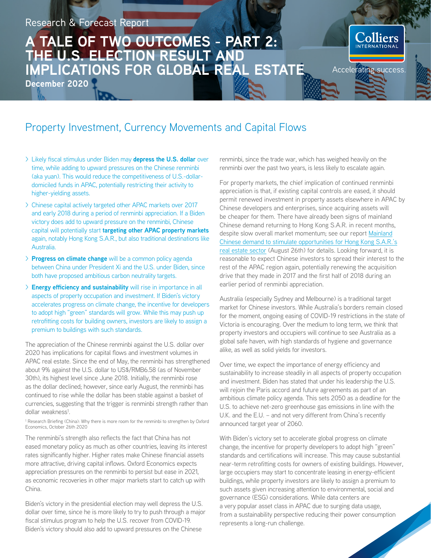## **A TALE OF TWO OUTCOMES - PART 2: THE U.S. ELECTION RESULT AND IMPLICATIONS FOR GLOBAL REAL ESTATE**

**December 2020**

## Property Investment, Currency Movements and Capital Flows

- > Likely fiscal stimulus under Biden may **depress the U.S. dollar** over time, while adding to upward pressures on the Chinese renminbi (aka yuan). This would reduce the competitiveness of U.S.-dollardomiciled funds in APAC, potentially restricting their activity to higher-yielding assets.
- > Chinese capital actively targeted other APAC markets over 2017 and early 2018 during a period of renminbi appreciation. If a Biden victory does add to upward pressure on the renminbi, Chinese capital will potentially start **targeting other APAC property markets** again, notably Hong Kong S.A.R., but also traditional destinations like Australia.
- > **Progress on climate change** will be a common policy agenda between China under President Xi and the U.S. under Biden, since both have proposed ambitious carbon neutrality targets.
- > **Energy efficiency and sustainability** will rise in importance in all aspects of property occupation and investment. If Biden's victory accelerates progress on climate change, the incentive for developers to adopt high "green" standards will grow. While this may push up retrofitting costs for building owners, investors are likely to assign a premium to buildings with such standards.

The appreciation of the Chinese renminbi against the U.S. dollar over 2020 has implications for capital flows and investment volumes in APAC real estate. Since the end of May, the renminbi has strengthened about 9% against the U.S. dollar to US\$/RMB6.58 (as of November 30th), its highest level since June 2018. Initially, the renminbi rose as the dollar declined; however, since early August, the renminbi has continued to rise while the dollar has been stable against a basket of currencies, suggesting that the trigger is renminbi strength rather than dollar weakness<sup>1</sup>.

<sup>1</sup> Research Briefing (China): Why there is more room for the renminbi to strengthen by Oxford Economics, October 26th 2020

The renminbi's strength also reflects the fact that China has not eased monetary policy as much as other countries, leaving its interest rates significantly higher. Higher rates make Chinese financial assets more attractive, driving capital inflows. Oxford Economics expects appreciation pressures on the renminbi to persist but ease in 2021, as economic recoveries in other major markets start to catch up with China.

Biden's victory in the presidential election may well depress the U.S. dollar over time, since he is more likely to try to push through a major fiscal stimulus program to help the U.S. recover from COVID-19. Biden's victory should also add to upward pressures on the Chinese

renminbi, since the trade war, which has weighed heavily on the renminbi over the past two years, is less likely to escalate again.

**`olliers** 

Accelerating success

For property markets, the chief implication of continued renminbi appreciation is that, if existing capital controls are eased, it should permit renewed investment in property assets elsewhere in APAC by Chinese developers and enterprises, since acquiring assets will be cheaper for them. There have already been signs of mainland Chinese demand returning to Hong Kong S.A.R. in recent months, [despite slow overall market momentum; see our report Mainland](https://www2.colliers.com/en-HK/Research/Mainland-Chinese-Demand-Creates-Opportunity-for-Hong-Kong-SAR-Real-Estate-Market)  Chinese demand to stimulate opportunities for Hong Kong S.A.R.'s real estate sector (August 26th) for details. Looking forward, it is reasonable to expect Chinese investors to spread their interest to the rest of the APAC region again, potentially renewing the acquisition drive that they made in 2017 and the first half of 2018 during an earlier period of renminbi appreciation.

Australia (especially Sydney and Melbourne) is a traditional target market for Chinese investors. While Australia's borders remain closed for the moment, ongoing easing of COVID-19 restrictions in the state of Victoria is encouraging. Over the medium to long term, we think that property investors and occupiers will continue to see Australia as a global safe haven, with high standards of hygiene and governance alike, as well as solid yields for investors.

Over time, we expect the importance of energy efficiency and sustainability to increase steadily in all aspects of property occupation and investment. Biden has stated that under his leadership the U.S. will rejoin the Paris accord and future agreements as part of an ambitious climate policy agenda. This sets 2050 as a deadline for the U.S. to achieve net-zero greenhouse gas emissions in line with the U.K. and the E.U. – and not very different from China's recently announced target year of 2060.

With Biden's victory set to accelerate global progress on climate change, the incentive for property developers to adopt high "green" standards and certifications will increase. This may cause substantial near-term retrofitting costs for owners of existing buildings. However, large occupiers may start to concentrate leasing in energy-efficient buildings, while property investors are likely to assign a premium to such assets given increasing attention to environmental, social and governance (ESG) considerations. While data centers are a very popular asset class in APAC due to surging data usage, from a sustainability perspective reducing their power consumption represents a long-run challenge.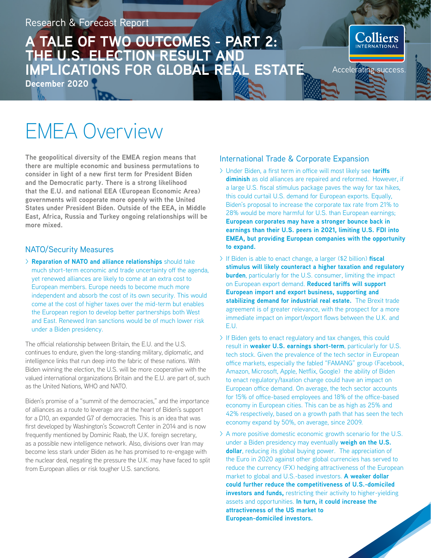## **A TALE OF TWO OUTCOMES - PART 2: THE U.S. ELECTION RESULT AND IMPLICATIONS FOR GLOBAL REAL ESTATE**

**December 2020**



**The geopolitical diversity of the EMEA region means that there are multiple economic and business permutations to consider in light of a new first term for President Biden and the Democratic party. There is a strong likelihood that the E.U. and national EEA (European Economic Area) governments will cooperate more openly with the United States under President Biden. Outside of the EEA, in Middle East, Africa, Russia and Turkey ongoing relationships will be more mixed.** 

#### NATO/Security Measures

> **Reparation of NATO and alliance relationships** should take much short-term economic and trade uncertainty off the agenda, yet renewed alliances are likely to come at an extra cost to European members. Europe needs to become much more independent and absorb the cost of its own security. This would come at the cost of higher taxes over the mid-term but enables the European region to develop better partnerships both West and East. Renewed Iran sanctions would be of much lower risk under a Biden presidency.

The official relationship between Britain, the E.U. and the U.S. continues to endure, given the long-standing military, diplomatic, and intelligence links that run deep into the fabric of these nations. With Biden winning the election, the U.S. will be more cooperative with the valued international organizations Britain and the E.U. are part of, such as the United Nations, WHO and NATO.

Biden's promise of a "summit of the democracies," and the importance of alliances as a route to leverage are at the heart of Biden's support for a D10, an expanded G7 of democracies. This is an idea that was first developed by Washington's Scowcroft Center in 2014 and is now frequently mentioned by Dominic Raab, the U.K. foreign secretary, as a possible new intelligence network. Also, divisions over Iran may become less stark under Biden as he has promised to re-engage with the nuclear deal, negating the pressure the U.K. may have faced to split from European allies or risk tougher U.S. sanctions.

#### International Trade & Corporate Expansion

> Under Biden, a first term in office will most likely see **tariffs diminish** as old alliances are repaired and reformed. However, if a large U.S. fiscal stimulus package paves the way for tax hikes, this could curtail U.S. demand for European exports. Equally, Biden's proposal to increase the corporate tax rate from 21% to 28% would be more harmful for U.S. than European earnings; **European corporates may have a stronger bounce back in earnings than their U.S. peers in 2021, limiting U.S. FDI into EMEA, but providing European companies with the opportunity to expand.**

**Solliers** 

Accelerating success

- > If Biden is able to enact change, a larger (\$2 billion) **fiscal stimulus will likely counteract a higher taxation and regulatory burden**, particularly for the U.S. consumer, limiting the impact on European export demand. **Reduced tariffs will support European import and export business, supporting and stabilizing demand for industrial real estate.** The Brexit trade agreement is of greater relevance, with the prospect for a more immediate impact on import/export flows between the U.K. and E.U.
- > If Biden gets to enact regulatory and tax changes, this could result in **weaker U.S. earnings short-term**, particularly for U.S. tech stock. Given the prevalence of the tech sector in European office markets, especially the fabled "FAMANG" group (Facebook, Amazon, Microsoft, Apple, Netflix, Google) the ability of Biden to enact regulatory/taxation change could have an impact on European office demand. On average, the tech sector accounts for 15% of office-based employees and 18% of the office-based economy in European cities. This can be as high as 25% and 42% respectively, based on a growth path that has seen the tech economy expand by 50%, on average, since 2009.
- > A more positive domestic economic growth scenario for the U.S. under a Biden presidency may eventually **weigh on the U.S. dollar**, reducing its global buying power. The appreciation of the Euro in 2020 against other global currencies has served to reduce the currency (FX) hedging attractiveness of the European market to global and U.S.-based investors. **A weaker dollar could further reduce the competitiveness of U.S.-domiciled investors and funds,** restricting their activity to higher-yielding assets and opportunities. **In turn, it could increase the attractiveness of the US market to European-domiciled investors.**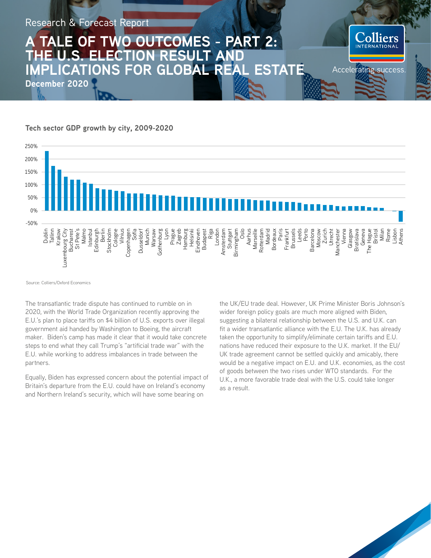## **TALE OF TWO OUTCOMES - PART 2: THE U.S. ELECTION RESULT AND IMPLICATIONS FOR GLOBAL REAL ESTATE**

**December 2020**

#### **Tech sector GDP growth by city, 2009-2020**



Source: Colliers/Oxford Economics

The transatlantic trade dispute has continued to rumble on in 2020, with the World Trade Organization recently approving the E.U.'s plan to place tariffs on \$4 billion of U.S. exports over illegal government aid handed by Washington to Boeing, the aircraft maker. Biden's camp has made it clear that it would take concrete steps to end what they call Trump's "artificial trade war" with the E.U. while working to address imbalances in trade between the partners.

Equally, Biden has expressed concern about the potential impact of Britain's departure from the E.U. could have on Ireland's economy and Northern Ireland's security, which will have some bearing on

the UK/EU trade deal. However, UK Prime Minister Boris Johnson's wider foreign policy goals are much more aligned with Biden, suggesting a bilateral relationship between the U.S. and U.K. can fit a wider transatlantic alliance with the E.U. The U.K. has already taken the opportunity to simplify/eliminate certain tariffs and E.U. nations have reduced their exposure to the U.K. market. If the EU/ UK trade agreement cannot be settled quickly and amicably, there would be a negative impact on E.U. and U.K. economies, as the cost of goods between the two rises under WTO standards. For the U.K., a more favorable trade deal with the U.S. could take longer as a result.

liers

Accelerating success